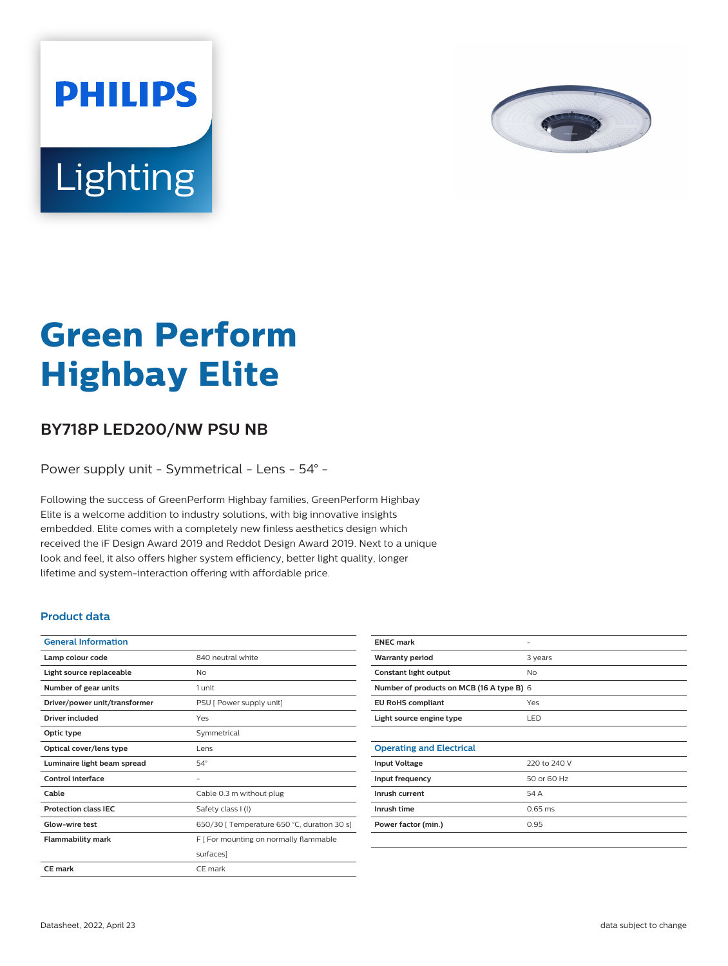

# Lighting

**PHILIPS** 

# **Green Perform Highbay Elite**

## **BY718P LED200/NW PSU NB**

Power supply unit - Symmetrical - Lens - 54° -

Following the success of GreenPerform Highbay families, GreenPerform Highbay Elite is a welcome addition to industry solutions, with big innovative insights embedded. Elite comes with a completely new finless aesthetics design which received the iF Design Award 2019 and Reddot Design Award 2019. Next to a unique look and feel, it also offers higher system efficiency, better light quality, longer lifetime and system-interaction offering with affordable price.

#### **Product data**

| <b>General Information</b>    |                                             |
|-------------------------------|---------------------------------------------|
| Lamp colour code              | 840 neutral white                           |
| Light source replaceable      | No                                          |
| Number of gear units          | 1 unit                                      |
| Driver/power unit/transformer | PSU [ Power supply unit]                    |
| Driver included               | Yes                                         |
| Optic type                    | Symmetrical                                 |
| Optical cover/lens type       | Lens                                        |
| Luminaire light beam spread   | $54^\circ$                                  |
| <b>Control interface</b>      | ۰                                           |
| Cable                         | Cable 0.3 m without plug                    |
| <b>Protection class IEC</b>   | Safety class I (I)                          |
| Glow-wire test                | 650/30   Temperature 650 °C, duration 30 s] |
| <b>Flammability mark</b>      | F [ For mounting on normally flammable      |
|                               | surfaces]                                   |
| <b>CE</b> mark                | CE mark                                     |
|                               |                                             |

| <b>ENEC mark</b>                          |              |  |
|-------------------------------------------|--------------|--|
| <b>Warranty period</b>                    | 3 years      |  |
| Constant light output                     | No           |  |
| Number of products on MCB (16 A type B) 6 |              |  |
| <b>EU RoHS compliant</b>                  | Yes          |  |
| Light source engine type                  | LED          |  |
|                                           |              |  |
| <b>Operating and Electrical</b>           |              |  |
| <b>Input Voltage</b>                      | 220 to 240 V |  |
| Input frequency                           | 50 or 60 Hz  |  |
| Inrush current                            | 54 A         |  |
| Inrush time                               | $0.65$ ms    |  |
| Power factor (min.)                       | 0.95         |  |
|                                           |              |  |